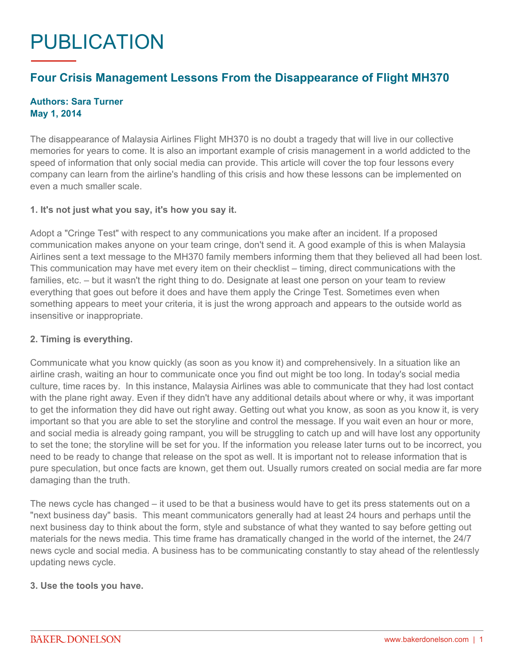# PUBLICATION

## **Four Crisis Management Lessons From the Disappearance of Flight MH370**

### **Authors: Sara Turner May 1, 2014**

The disappearance of Malaysia Airlines Flight MH370 is no doubt a tragedy that will live in our collective memories for years to come. It is also an important example of crisis management in a world addicted to the speed of information that only social media can provide. This article will cover the top four lessons every company can learn from the airline's handling of this crisis and how these lessons can be implemented on even a much smaller scale.

### **1. It's not just what you say, it's how you say it.**

Adopt a "Cringe Test" with respect to any communications you make after an incident. If a proposed communication makes anyone on your team cringe, don't send it. A good example of this is when Malaysia Airlines sent a text message to the MH370 family members informing them that they believed all had been lost. This communication may have met every item on their checklist – timing, direct communications with the families, etc. – but it wasn't the right thing to do. Designate at least one person on your team to review everything that goes out before it does and have them apply the Cringe Test. Sometimes even when something appears to meet your criteria, it is just the wrong approach and appears to the outside world as insensitive or inappropriate.

### **2. Timing is everything.**

Communicate what you know quickly (as soon as you know it) and comprehensively. In a situation like an airline crash, waiting an hour to communicate once you find out might be too long. In today's social media culture, time races by. In this instance, Malaysia Airlines was able to communicate that they had lost contact with the plane right away. Even if they didn't have any additional details about where or why, it was important to get the information they did have out right away. Getting out what you know, as soon as you know it, is very important so that you are able to set the storyline and control the message. If you wait even an hour or more, and social media is already going rampant, you will be struggling to catch up and will have lost any opportunity to set the tone; the storyline will be set for you. If the information you release later turns out to be incorrect, you need to be ready to change that release on the spot as well. It is important not to release information that is pure speculation, but once facts are known, get them out. Usually rumors created on social media are far more damaging than the truth.

The news cycle has changed – it used to be that a business would have to get its press statements out on a "next business day" basis. This meant communicators generally had at least 24 hours and perhaps until the next business day to think about the form, style and substance of what they wanted to say before getting out materials for the news media. This time frame has dramatically changed in the world of the internet, the 24/7 news cycle and social media. A business has to be communicating constantly to stay ahead of the relentlessly updating news cycle.

#### **3. Use the tools you have.**